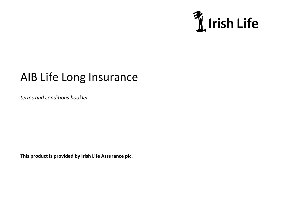

# AIB Life Long Insurance

*terms and conditions booklet*

**This product is provided by Irish Life Assurance plc.**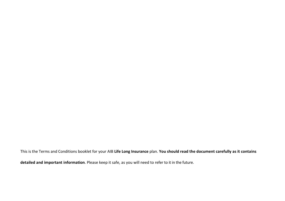This is the Terms and Conditions booklet for your AIB **Life Long Insurance** plan. **You should read the document carefully as it contains detailed and important information**. Please keep it safe, as you will need to refer to it in the future.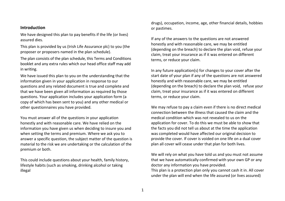#### **Introduction**

We have designed this plan to pay benefits if the life (or lives) assured dies.

This plan is provided by us (Irish Life Assurance plc) to you (the proposer or proposers named in the plan schedule).

The plan consists of the plan schedule, this Terms and Conditions booklet and any extra rules which our head office staff may add in writing.

We have issued this plan to you on the understanding that the information given in your application in response to our questions and any related document is true and complete and that we have been given all information as required by those questions. Your application includes your application form (a copy of which has been sent to you) and any other medical or other questionnaires you have provided.

You must answer all of the questions in your application honestly and with reasonable care. We have relied on the information you have given us when deciding to insure you and when setting the terms and premium. Where we ask you to answer a specific question, the subject matter of the question is material to the risk we are undertaking or the calculation of the premium or both.

This could include questions about your health, family history, lifestyle habits (such as smoking, drinking alcohol or taking illegal

drugs), occupation, income, age, other financial details, hobbies or pastimes.

If any of the answers to the questions are not answered honestly and with reasonable care, we may be entitled (depending on the breach) to declare the plan void, refuse your claim, treat your insurance as if it was entered on different terms, or reduce your claim.

In any future application(s) for changes to your cover after the start date of your plan if any of the questions are not answered honestly and with reasonable care, we may be entitled (depending on the breach) to declare the plan void, refuse your claim, treat your insurance as if it was entered on different terms, or reduce your claim.

We may refuse to pay a claim even if there is no direct medical connection between the illness that caused the claim and the medical condition which was not revealed to us on the application for cover. To do this we must be able to show that the facts you did not tell us about at the time the application was completed would have affected our original decision to provide the cover. If cover is voided on one life on a dual cover plan all cover will cease under that plan for both lives.

We will rely on what you have told us and you must not assume that we have automatically confirmed with your own GP or any doctor any information you have provided. This plan is a protection plan only you cannot cash it in. All cover under the plan will end when the life assured (or lives assured)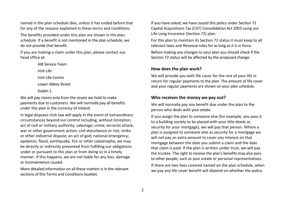named in the plan schedule dies, unless it has ended before that for any of the reasons explained in these terms and conditions.

The benefits provided under this plan are shown in the plan schedule. If a benefit is not mentioned in the plan schedule, we do not provide that benefit.

If you are making a claim under this plan, please contact our head office at:

> AIB Service Team Irish Life Irish Life Centre Lower Abbey Street Dublin 1.

We will pay claims only from the assets we hold to make payments due to customers. We will normally pay all benefits under this plan in the currency of Ireland.

In legal disputes Irish law will apply In the event of extraordinary circumstances beyond our control including, without limitation, act of civil or military authority; sabotage; crime; terrorist attack; war or other government action; civil disturbance or riot; strike or other industrial dispute; an act of god; national emergency; epidemic; flood, earthquake, fire or other catastrophe, we may be directly or indirectly prevented from fulfilling our obligations under or pursuant to this plan or from doing so in a timely manner. If this happens, we are not liable for any loss, damage or inconvenience caused.

More detailed information on all these matters is in the relevant sections of this Terms and Conditions booklet.

If you have asked, we have issued this policy under Section 72 Capital Acquisitions Tax (CAT) Consolidation Act 2003 using our Life Long Insurance (Section 72) plan.

For this plan to maintain its Section 72 status it must keep to all relevant laws and Revenue rules for as long as it is in force.

Before making any changes to your plan you should check if the Section 72 status will be affected by the proposed change.

#### **How does the plan work?**

We will provide you with life cover for the rest of your life in return for regular payments to the plan. The amount of life cover and your regular payments are shown on your plan schedule.

#### **Who receives the money we pay out?**

We will normally pay any benefit due under the plan to the person who deals with your estate.

If you assign the plan to someone else (for example, you pass it to a building society to be placed with your title deeds as security for your mortgage), we will pay that person. Where a plan is assigned to someone else as security for a mortgage we will not pay an extra amount to cover any interest on that mortgage between the date you submit a claim and the date that claim is paid. If the plan is written under trust, we will pay the trustee. The right to receive the plan's benefits may also pass to other people, such as your estate or personal representatives.

If there are two lives covered named on the plan schedule, when we pay any life cover benefit will depend on whether the policy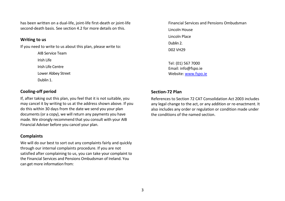has been written on a dual-life, joint-life first-death or joint-life second-death basis. See section 4.2 for more details on this.

#### **Writing to us**

If you need to write to us about this plan, please write to:

AIB Service Team Irish Life Irish Life Centre Lower Abbey Street Dublin 1.

#### **Cooling-off period**

If, after taking out this plan, you feel that it is not suitable, you may cancel it by writing to us at the address shown above. If you do this within 30 days from the date we send you your plan documents (or a copy), we will return any payments you have made. We strongly recommend that you consult with your AIB Financial Adviser before you cancel your plan.

#### **Complaints**

We will do our best to sort out any complaints fairly and quickly through our internal complaints procedure. If you are not satisfied after complaining to us, you can take your complaint to the Financial Services and Pensions Ombudsman of Ireland. You can get more information from:

Financial Services and Pensions Ombudsman Lincoln House Lincoln Place Dublin 2. D02 VH29

Tel: (01) 567 7000 Email: info@fspo.ie Website[: www.fspo.ie](https://www.fspo.ie/)

#### **Section-72 Plan**

References to Section 72 CAT Consolidation Act 2003 includes any legal change to the act, or any addition or re-enactment. It also includes any order or regulation or condition made under the conditions of the named section.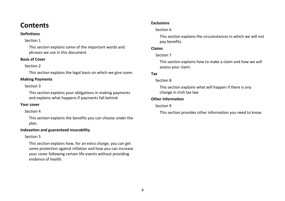### **Contents**

#### **Definitions**

#### Section 1

This section explains some of the important words and phrases we use in this document.

#### **Basis of Cover**

#### Section 2

This section explains the legal basis on which we give cover.

#### **Making Payments**

#### Section 3

This section explains your obligations in making payments and explains what happens if payments fall behind.

#### **Your cover**

#### Section 4

This section explains the benefits you can choose under the plan.

#### **Indexation and guaranteed insurability**

#### Section 5

This section explains how, for an extra charge, you can get some protection against inflation and how you can increase your cover following certain life events without providing evidence of health.

#### **Exclusions**

#### Section 6

This section explains the circumstances in which we will not pay benefits.

#### **Claims**

#### Section 7

This section explains how to make a claim and how we will assess your claim.

#### **Tax**

#### Section 8

This section explains what will happen if there is any change in Irish tax law

#### **Other information**

#### Section 9

This section provides other information you need to know.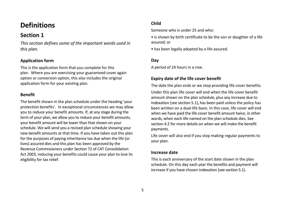# **Definitions**

### **Section 1**

*This section defines some of the important words used in this plan.* 

#### **Application form**

This is the application form that you complete for this plan. Where you are exercising your guaranteed cover again option or conversion option, this also includes the original application form for your existing plan.

#### **Benefit**

The benefit shown in the plan schedule under the heading 'your protection benefits'. In exceptional circumstances we may allow you to reduce your benefit amounts. If, at any stage during the term of your plan, we allow you to reduce your benefit amounts, your benefit amount will be lower than that shown on your schedule. We will send you a revised plan schedule showing your new benefit amounts at that time. If you have taken out this plan for the purposes of paying inheritance tax due when the life (or lives) assured dies and this plan has been approved by the Revenue Commissioners under Section 72 of CAT Consolidation Act 2003, reducing your benefits could cause your plan to lose its eligibility for tax relief.

#### **Child**

Someone who is under 25 and who:

• is shown by birth certificate to be the son or daughter of a life assured; or

• has been legally adopted by a life assured.

#### **Day**

A period of 24 hours in a row.

#### **Expiry date of the life cover benefit**

The date the plan ends or we stop providing life cover benefits. Under this plan life cover will end when the life cover benefit amount shown on the plan schedule, plus any increase due to indexation (see section 5.1), has been paid unless the policy has been written on a dual-life basis. In this case, life cover will end when we have paid the life cover benefit amount twice, in other words, when each life named on the plan schedule dies. See section 4.2 for more details on when we will make the benefit payments.

Life cover will also end if you stop making regular payments to your plan.

#### **Increase date**

This is each anniversary of the start date shown in the plan schedule. On this day each year the benefits and payment will increase if you have chosen indexation (see section 5.1).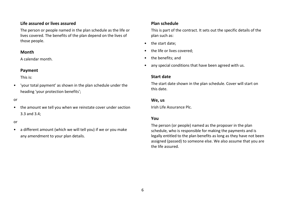#### **Life assured or lives assured**

The person or people named in the plan schedule as the life or lives covered. The benefits of the plan depend on the lives of those people.

#### **Month**

A calendar month.

#### **Payment**

This is:

• 'your total payment' as shown in the plan schedule under the heading 'your protection benefits';

#### or

• the amount we tell you when we reinstate cover under section 3.3 and 3.4;

#### or

• a different amount (which we will tell you) if we or you make any amendment to your plan details.

#### **Plan schedule**

This is part of the contract. It sets out the specific details of the plan such as:

- the start date;
- the life or lives covered:
- the benefits; and
- any special conditions that have been agreed with us.

#### **Start date**

The start date shown in the plan schedule. Cover will start on this date.

#### **We, us**

Irish Life Assurance Plc.

#### **You**

The person (or people) named as the proposer in the plan schedule, who is responsible for making the payments and is legally entitled to the plan benefits as long as they have not been assigned (passed) to someone else. We also assume that you are the life assured.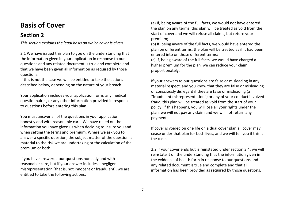# **Basis of Cover**

### **Section 2**

*This section explains the legal basis on which cover is given*.

2.1 We have issued this plan to you on the understanding that the information given in your application in response to our questions and any related document is true and complete and that we have been given all information as required by those questions.

If this is not the case we will be entitled to take the actions described below, depending on the nature of your breach.

Your application includes your application form, any medical questionnaires, or any other information provided in response to questions before entering this plan.

You must answer all of the questions in your application honestly and with reasonable care. We have relied on the information you have given us when deciding to insure you and when setting the terms and premium. Where we ask you to answer a specific question, the subject matter of the question is material to the risk we are undertaking or the calculation of the premium or both.

If you have answered our questions honestly and with reasonable care, but if your answer includes a negligent misrepresentation (that is, not innocent or fraudulent), we are entitled to take the following actions:

(a) If, being aware of the full facts, we would not have entered the plan on any terms, this plan will be treated as void from the start of cover and we will refuse all claims, but return your premium;

(b) If, being aware of the full facts, we would have entered the plan on different terms, the plan will be treated as if it had been entered into on those different terms;

(c) If, being aware of the full facts, we would have charged a higher premium for the plan, we can reduce your claim proportionately.

If your answers to our questions are false or misleading in any material respect, and you know that they are false or misleading or consciously disregard if they are false or misleading (a "fraudulent misrepresentation") or any of your conduct involved fraud, this plan will be treated as void from the start of your policy. If this happens, you will lose all your rights under the plan, we will not pay any claim and we will not return any payments.

If cover is voided on one life on a dual cover plan all cover may cease under that plan for both lives, and we will tell you if this is the case.

2.2 If your cover ends but is reinstated under section 3.4, we will reinstate it on the understanding that the information given in the evidence of health form in response to our questions and any related document is true and complete and that all information has been provided as required by those questions.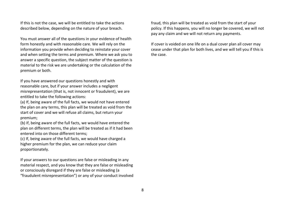If this is not the case, we will be entitled to take the actions described below, depending on the nature of your breach.

You must answer all of the questions in your evidence of health form honestly and with reasonable care. We will rely on the information you provide when deciding to reinstate your cover and when setting the terms and premium. Where we ask you to answer a specific question, the subject matter of the question is material to the risk we are undertaking or the calculation of the premium or both.

If you have answered our questions honestly and with reasonable care, but if your answer includes a negligent misrepresentation (that is, not innocent or fraudulent), we are entitled to take the following actions:

(a) If, being aware of the full facts, we would not have entered the plan on any terms, this plan will be treated as void from the start of cover and we will refuse all claims, but return your premium;

(b) If, being aware of the full facts, we would have entered the plan on different terms, the plan will be treated as if it had been entered into on those different terms;

(c) If, being aware of the full facts, we would have charged a higher premium for the plan, we can reduce your claim proportionately.

If your answers to our questions are false or misleading in any material respect, and you know that they are false or misleading or consciously disregard if they are false or misleading (a "fraudulent misrepresentation") or any of your conduct involved fraud, this plan will be treated as void from the start of your policy. If this happens, you will no longer be covered, we will not pay any claim and we will not return any payments.

If cover is voided on one life on a dual cover plan all cover may cease under that plan for both lives, and we will tell you if this is the case.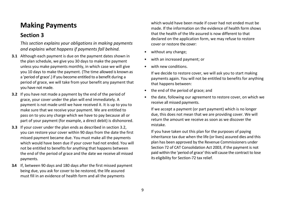# **Making Payments**

### **Section 3**

*This section explains your obligations in making payments and explains what happens if payments fall behind.* 

- **3.1** Although each payment is due on the payment dates shown in the plan schedule, we give you 30 days to make the payment unless you make payments monthly, in which case we will give you 10 days to make the payment. (The time allowed is known as a 'period of grace'.) If you become entitled to a benefit during a period of grace, we will take from your benefit any payment that you have not made.
- **3.2** If you have not made a payment by the end of the period of grace, your cover under the plan will end immediately. A payment is not made until we have received it. It is up to you to make sure that we receive your payment. We are entitled to pass on to you any charge which we have to pay because all or part of your payment (for example, a direct debit) is dishonored.
- **3.3** If your cover under the plan ends as described in section 3.2, you can restore your cover within 90 days from the date the first missed payment became due. You must make all the payments which would have been due if your cover had not ended. You will not be entitled to benefits for anything that happens between the end of the period of grace and the date we receive all missed payments.
- **3.4** If, between 90 days and 180 days after the first missed payment being due, you ask for cover to be restored, the life assured must fill in an evidence of health form and all the payments

which would have been made if cover had not ended must be made. If the information on the evidence of health form shows that the health of the life assured is now different to that declared on the application form, we may refuse to restore cover or restore the cover:

- without any change;
- with an increased payment: or
- with new conditions

If we decide to restore cover, we will ask you to start making payments again. You will not be entitled to benefits for anything that happens between:

- the end of the period of grace; and
- the date, following our agreement to restore cover, on which we receive all missed payments.

If we accept a payment (or part payment) which is no longer due, this does not mean that we are providing cover. We will return the amount we receive as soon as we discover the mistake.

If you have taken out this plan for the purposes of paying inheritance tax due when the life (or lives) assured dies and this plan has been approved by the Revenue Commissioners under Section 72 of CAT Consolidation Act 2003, if the payment is not paid within the 'period of grace' this will cause the contract to lose its eligibility for Section-72 tax relief.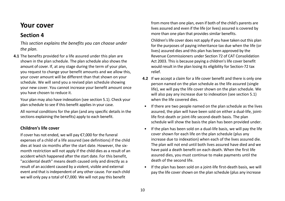### **Your cover**

### **Section 4**

*This section explains the benefits you can choose under the plan.* 

**4.1** The benefits provided for a life assured under this plan are shown in the plan schedule. The plan schedule also shows the amount of cover. If, at any stage during the term of your plan, you request to change your benefit amounts and we allow this, your cover amount will be different than that shown on your schedule. We will send you a revised plan schedule showing your new cover. You cannot increase your benefit amount once you have chosen to reduce it.

Your plan may also have indexation (see section 5.1). Check your plan schedule to see if this benefit applies in your case.

All normal conditions for the plan (and any specific details in the sections explaining the benefits) apply to each benefit.

#### **Children's life cover**

If cover has not ended, we will pay €7,000 for the funeral expenses of a child of a life assured (see definitions) if the child dies at least six months after the start date. However, the sixmonth restriction will not apply if the child dies as a result of an accident which happened after the start date. For this benefit, "accidental death" means death caused only and directly as a result of an accident caused by a violent, visible and external event and that is independent of any other cause. For each child we will only pay a total of €7,000. We will not pay this benefit

from more than one plan, even if both of the child's parents are lives assured and even if the life (or lives) assured is covered by more than one plan that provides similar benefits.

Children's life cover does not apply if you have taken out this plan for the purposes of paying inheritance tax due when the life (or lives) assured dies and this plan has been approved by the Revenue Commissioners under Section 72 of CAT Consolidation Act 2003. This is because paying a children's life cover benefit would result in the plan losing its eligibility for Section-72 tax relief.

- **4.2** If we accept a claim for a life cover benefit and there is only one person named on the plan schedule as the life assured (single life), we will pay the life cover shown on the plan schedule. We will also pay any increase due to indexation (see section 5.1) when the life covered dies.
- If there are two people named on the plan schedule as the lives assured, the plan will have been sold on either a dual-life, jointlife first-death or joint-life second-death basis. The plan schedule will show the basis the plan has been provided under.
- If the plan has been sold on a dual-life basis, we will pay the life cover shown for each life on the plan schedule (plus any increase due to indexation) when each of the lives assured die. The plan will not end until both lives assured have died and we have paid a death benefit on each death. When the first life assured dies, you must continue to make payments until the death of the second life.
- If the plan has been sold on a joint-life first-death basis, we will pay the life cover shown on the plan schedule (plus any increase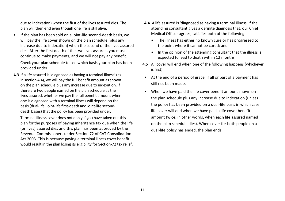due to indexation) when the first of the lives assured dies. The plan will then end even though one life is still alive.

• If the plan has been sold on a joint-life second-death basis, we will pay the life cover shown on the plan schedule (plus any increase due to indexation) when the second of the lives assured dies. After the first death of the two lives assured, you must continue to make payments, and we will not pay any benefit.

Check your plan schedule to see which basis your plan has been provided under.

**4.3** If a life assured is 'diagnosed as having a terminal illness' (as in section 4.4), we will pay the full benefit amount as shown on the plan schedule plus any increase due to indexation. If there are two people named on the plan schedule as the lives assured, whether we pay the full benefit amount when one is diagnosed with a terminal illness will depend on the basis (dual-life, joint-life first-death and joint-life seconddeath bases) that the policy has been provided under.

Terminal Illness cover does not apply if you have taken out this plan for the purposes of paying inheritance tax due when the life (or lives) assured dies and this plan has been approved by the Revenue Commissioners under Section 72 of CAT Consolidation Act 2003. This is because paying a terminal illness cover benefit would result in the plan losing its eligibility for Section-72 tax relief.

- **4.4** A life assured is 'diagnosed as having a terminal illness' if the attending consultant gives a definite diagnosis that, our Chief Medical Officer agrees, satisfies both of the following:
	- The illness has either no known cure or has progressed to the point where it cannot be cured; and
	- In the opinion of the attending consultant that the illness is expected to lead to death within 12 months
- **4.5** All cover will end when one of the following happens (whichever is first).
- At the end of a period of grace, if all or part of a payment has still not been made.
- When we have paid the life cover benefit amount shown on the plan schedule plus any increase due to indexation (unless the policy has been provided on a dual-life basis in which case life cover will end when we have paid a life cover benefit amount twice, in other words, when each life assured named on the plan schedule dies). When cover for both people on a dual-life policy has ended, the plan ends.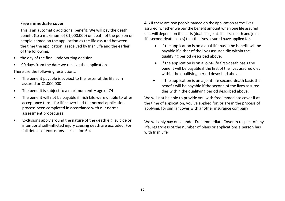#### **Free immediate cover**

This is an automatic additional benefit. We will pay the death benefit (to a maximum of €1,000,000) on death of the person or people named on the application as the life assured between the time the application is received by Irish Life and the earlier of the following:

- the day of the final underwriting decision
- 90 days from the date we receive the application

There are the following restrictions:

- The benefit payable is subject to the lesser of the life sum assured or €1,000,000
- The benefit is subject to a maximum entry age of 74
- The benefit will not be payable if Irish Life were unable to offer acceptance terms for life cover had the normal application process been completed in accordance with our normal assessment procedures
- Exclusions apply around the nature of the death e.g. suicide or intentional self-inflicted injury causing death are excluded. For full details of exclusions see section 6.4

**4.6** If there are two people named on the application as the lives assured, whether we pay the benefit amount when one life assured dies will depend on the basis (dual-life, joint-life first-death and jointlife second-death bases) that the lives assured have applied for.

- If the application is on a dual-life basis the benefit will be payable if either of the lives assured die within the qualifying period described above.
- If the application is on a joint-life first-death basis the benefit will be payable if the first of the lives assured dies within the qualifying period described above.
- If the application is on a joint-life second-death basis the benefit will be payable if the second of the lives assured dies within the qualifying period described above.

We will not be able to provide you with free immediate cover if at the time of application, you've applied for, or are in the process of applying, for similar cover with another insurance company

We will only pay once under Free Immediate Cover in respect of any life, regardless of the number of plans or applications a person has with Irish Life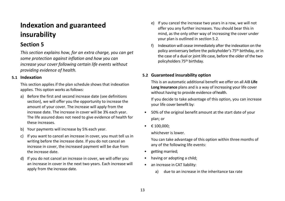# **Indexation and guaranteed insurability**

### **Section 5**

*This section explains how, for an extra charge, you can get some protection against inflation and how you can increase your cover following certain life events without providing evidence of health.* 

#### **5.1 Indexation**

This section applies if the plan schedule shows that indexation applies. This option works as follows:

- a) Before the first and second increase date (see definitions section), we will offer you the opportunity to increase the amount of your cover. The increase will apply from the increase date. The increase in cover will be 3% each year. The life assured does not need to give evidence of health for these increases.
- b) Your payments will increase by 5% each year.
- c) If you want to cancel an increase in cover, you must tell us in writing before the increase date. If you do not cancel an increase in cover, the increased payment will be due from the increase date.
- d) If you do not cancel an increase in cover, we will offer you an increase in cover in the next two years. Each increase will apply from the increase date.
- e) If you cancel the increase two years in a row, we will not offer you any further increases. You should bear this in mind, as the only other way of increasing the cover under your plan is outlined in section 5.2.
- f) Indexation will cease immediately after the indexation on the policy anniversary before the policyholder's 75th birthday, or in the case of a dual or joint life case, before the older of the two policyholders 75th birthday.

#### **5.2 Guaranteed insurability option**

This is an automatic additional benefit we offer on all AIB **Life Long Insurance** plans and is a way of increasing your life cover without having to provide evidence of health.

If you decide to take advantage of this option, you can increase your life cover benefit by:

- 50% of the original benefit amount at the start date of your plan; or
- $\epsilon$  100,000:

whichever is lower.

You can take advantage of this option within three months of any of the following life events:

- getting married;
- having or adopting a child;
- an increase in CAT liability:
	- a) due to an increase in the inheritance tax rate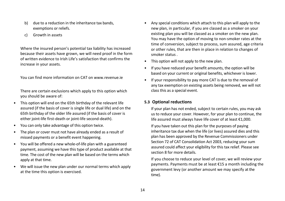- b) due to a reduction in the inheritance tax bands, exemptions or reliefs.
- c) Growth in assets

Where the insured person's potential tax liability has increased because their assets have grown, we will need proof in the form of written evidence to Irish Life's satisfaction that confirms the increase in your assets.

You can find more information on CAT on www.revenue.ie

There are certain exclusions which apply to this option which you should be aware of:

- This option will end on the 65th birthday of the relevant life assured (if the basis of cover is single life or dual life) and on the 65th birthday of the older life assured (if the basis of cover is either joint-life first-death or joint-life second-death).
- You can only take advantage of this option twice.
- The plan or cover must not have already ended as a result of missed payments or a benefit event happening.
- You will be offered a new whole-of-life plan with a guaranteed payment, assuming we have this type of product available at that time. The cost of the new plan will be based on the terms which apply at that time.
- We will issue the new plan under our normal terms which apply at the time this option is exercised.
- Any special conditions which attach to this plan will apply to the new plan, in particular, if you are classed as a smoker on your existing plan you will be classed as a smoker on the new plan. You may have the option of moving to non-smoker rates at the time of conversion, subject to process, sum assured, age criteria or other rules, that are then in place in relation to changes of smoker status .
- This option will not apply to the new plan.
- If you have reduced your benefit amounts, the option will be based on your current or original benefits, whichever is lower.
- If your responsibility to pay more CAT is due to the removal of any tax exemption on existing assets being removed, we will not class this as a special event.

#### **5.3 Optional reductions**

If your plan has not ended, subject to certain rules, you may ask us to reduce your cover. However, for your plan to continue, the life assured must always have life cover of at least €1,000.

If you have taken out this plan for the purposes of paying inheritance tax due when the life (or lives) assured dies and this plan has been approved by the Revenue Commissioners under Section 72 of CAT Consolidation Act 2003, reducing your sum assured could affect your eligibility for this tax relief. Please see section 8 for more details.

If you choose to reduce your level of cover, we will review your payments. Payments must be at least €15 a month including the government levy (or another amount we may specify at the time).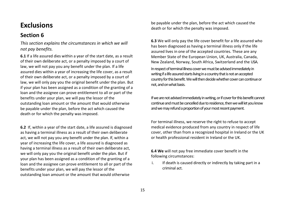# **Exclusions**

### **Section 6**

*This section explains the circumstances in which we will not pay benefits.* 

**6.1** If a life assured dies within a year of the start date, as a result of their own deliberate act, or a penalty imposed by a court of law, we will not pay you any benefit under the plan. If a life assured dies within a year of increasing the life cover, as a result of their own deliberate act, or a penalty imposed by a court of law, we will only pay you the original benefit under the plan. But if your plan has been assigned as a condition of the granting of a loan and the assignee can prove entitlement to all or part of the benefits under your plan, we will pay the lessor of the outstanding loan amount or the amount that would otherwise be payable under the plan, before the act which caused the death or for which the penalty was imposed.

**6.2** If, within a year of the start date, a life assured is diagnosed as having a terminal illness as a result of their own deliberate act, we will not pay you any benefit under the plan. If, within a year of increasing the life cover, a life assured is diagnosed as having a terminal illness as a result of their own deliberate act, we will only pay you the original benefit under the plan. But if your plan has been assigned as a condition of the granting of a loan and the assignee can prove entitlement to all or part of the benefits under your plan, we will pay the lessor of the outstanding loan amount or the amount that would otherwise

be payable under the plan, before the act which caused the death or for which the penalty was imposed.

**6.3** We will only pay the life cover benefit for a life assured who has been diagnosed as having a terminal illness only if the life assured lives in one of the accepted countries. These are any Member State of the European Union, UK, Australia, Canada, New Zealand, Norway, South Africa, Switzerland and the USA. In respect of terminal illness cover we must be advised immediately in writing if a life assured starts living in a country that is not an accepted country for this benefit. We will then decide whether cover can continue or not, and on what basis.

If we are not advised immediately in writing, or if cover for this benefit cannot continue and must be cancelled due to residence, then we will let you know and we may refund a proportion of your most recent payment.

For terminal illness, we reserve the right to refuse to accept medical evidence produced from any country in respect of life cover, other than from a recognized hospital in Ireland or the UK or health professional resident in Ireland or the UK.

**6.4 We** will not pay free immediate cover benefit in the following circumstances:

i. If death is caused directly or indirectly by taking part in a criminal act.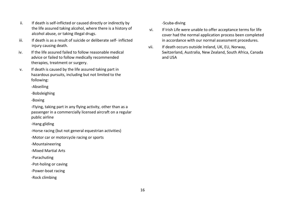- ii. If death is self-inflicted or caused directly or indirectly by the life assured taking alcohol, where there is a history of alcohol abuse, or taking illegal drugs.
- iii. If death is as a result of suicide or deliberate self- inflicted injury causing death.
- iv. If the life assured failed to follow reasonable medical advice or failed to follow medically recommended therapies, treatment or surgery.
- v. If death is caused by the life assured taking part in hazardous pursuits, including but not limited to the following:

-Abseiling

-Bobsleighing

-Boxing

-Flying, taking part in any flying activity, other than as a passenger in a commercially licensed aircraft on a regular public airline

-Hang gliding

-Horse racing (but not general equestrian activities)

-Motor car or motorcycle racing or sports

-Mountaineering

-Mixed Martial Arts

-Parachuting

-Pot-holing or caving

-Power-boat racing

-Rock climbing

-Scuba-diving

- vi. If Irish Life were unable to offer acceptance terms for life cover had the normal application process been completed in accordance with our normal assessment procedures.
- vii. If death occurs outside Ireland, UK, EU, Norway, Switzerland, Australia, New Zealand, South Africa, Canada and USA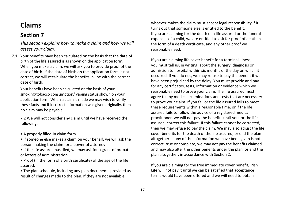# **Claims**

### **Section 7**

*This section explains how to make a claim and how we will assess your claim.* 

**7.1** Your benefits have been calculated on the basis that the date of birth of the life assured is as shown on the application form. When you make a claim, we will ask you to provide proof of the date of birth. If the date of birth on the application form is not correct, we will recalculate the benefits in line with the correct date of birth.

Your benefits have been calculated on the basis of your smoking/tobacco consumption/ vaping status shown on your application form. When a claim is made we may wish to verify these facts and if incorrect information was given originally, then no claim may be payable.

7.2 We will not consider any claim until we have received the following.

- A properly filled-in claim form.
- If someone else makes a claim on your behalf, we will ask the person making the claim for a power of attorney
- If the life assured has died, we may ask for a grant of probate or letters of administration.
- Proof (in the form of a birth certificate) of the age of the life assured.
- The plan schedule, including any plan documents provided as a result of changes made to the plan. If they are not available,

whoever makes the claim must accept legal responsibility if it turns out that someone else is entitled to the benefit. If you are claiming for the death of a life assured or the funeral expenses of a child, we are entitled to ask for proof of death in the form of a death certificate, and any other proof we reasonably need.

If you are claiming life cover benefit for a terminal illness; you must tell us, in writing, about the surgery, diagnosis or admission to hospital within six months of the day on which it occurred. If you do not, we may refuse to pay the benefit if we have been prejudiced by the delay. You must provide and pay for any certificates, tests, information or evidence which we reasonably need to prove your claim. The life assured must agree to any medical examinations and tests that are necessary to prove your claim. If you fail or the life assured fails to meet these requirements within a reasonable time, or if the life assured fails to follow the advice of a registered medical practitioner, we will not pay the benefits until you, or the life assured, correct this failure. If this failure cannot be corrected, then we may refuse to pay the claim. We may also adjust the life cover benefits for the death of the life assured, or end the plan altogether. If any of the information we have been given is not correct, true or complete, we may not pay the benefits claimed and may also alter the other benefits under the plan, or end the plan altogether, in accordance with Section 2.

If you are claiming for the free immediate cover benefit, Irish Life will not pay it until we can be satisfied that acceptance terms would have been offered and we will need to obtain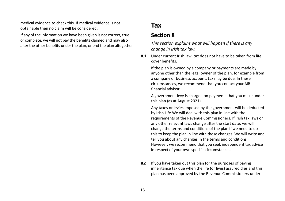medical evidence to check this. If medical evidence is not obtainable then no claim will be considered.

If any of the information we have been given is not correct, true or complete, we will not pay the benefits claimed and may also alter the other benefits under the plan, or end the plan altogether

# **Tax**

### **Section 8**

*This section explains what will happen if there is any change in Irish tax law.* 

**8.1** Under current Irish law, tax does not have to be taken from life cover benefits.

If the plan is owned by a company or payments are made by anyone other than the legal owner of the plan, for example from a company or business account, tax may be due. In these circumstances, we recommend that you contact your AIB financial advisor.

A government levy is charged on payments that you make under this plan (as at August 2021).

Any taxes or levies imposed by the government will be deducted by Irish Life.We will deal with this plan in line with the requirements of the Revenue Commissioners. If Irish tax laws or any other relevant laws change after the start date, we will change the terms and conditions of the plan if we need to do this to keep the plan in line with those changes. We will write and tell you about any changes in the terms and conditions. However, we recommend that you seek independent tax advice in respect of your own specific circumstances.

**8.2** If you have taken out this plan for the purposes of paying inheritance tax due when the life (or lives) assured dies and this plan has been approved by the Revenue Commissioners under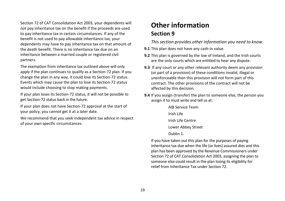Section 72 of CAT Consolidation Act 2003, your dependents will not pay inheritance tax on the benefit if the proceeds are used to pay inheritance tax in certain circumstances. If any of the benefit is not used to pay allowable inheritance tax, your dependents may have to pay inheritance tax on that amount of the death benefit. There is no inheritance tax due on an inheritance between a married couple or registered civil partners.

The exemption from inheritance tax outlined above will only apply if the plan continues to qualify as a Section-72 plan. If you change the plan in any way, it could lose its Section-72 status. Events which may cause the plan to lose its Section-72 status would include choosing to stop making payments.

If your plan loses its Section-72 status, it will not be possible to get Section-72 status back in the future.

If your plan does not have Section-72 approval at the start of your policy, you cannot get it at a later date.

We recommend that you seek independent tax advice in respect of your own specific circumstances.

# **Other information Section 9**

*This section provides other information you need to know.* 

- **9.1** This plan does not have any cash-in value.
- **9.2** This plan is governed by the law of Ireland, and the Irish courts are the only courts which are entitled to hear any dispute.
- **9.3** If any court or any other relevant authority deem any provision (or part of a provision) of these conditions invalid, illegal or unenforceable then this provision will not form part of this contract. The other provisions of the contract will not be affected by this decision.
- **9.4** If you assign (transfer) the plan to someone else, the person you assign it to must write and tell us at:

AIB Service Team Irish Life Irish Life Centre Lower Abbey Street

Dublin 1.

If you have taken out this plan for the purposes of paying inheritance tax due when the life (or lives) assured dies and this plan has been approved by the Revenue Commissioners under Section 72 of CAT Consolidation Act 2003, assigning the plan to someone else could result in the plan losing its eligibility for relief from Inheritance Tax under Section 72.